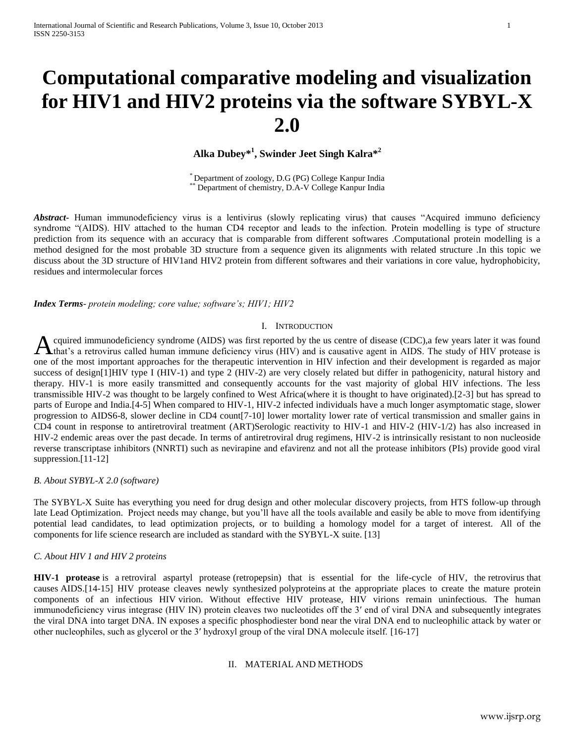# **Computational comparative modeling and visualization for HIV1 and HIV2 proteins via the software SYBYL-X 2.0**

# **Alka Dubey\* 1 , Swinder Jeet Singh Kalra\* 2**

\* Department of zoology, D.G (PG) College Kanpur India \*\* Department of chemistry, D.A-V College Kanpur India

*Abstract***-** Human immunodeficiency virus is a lentivirus (slowly replicating virus) that causes "Acquired immuno deficiency syndrome "(AIDS). HIV attached to the human CD4 receptor and leads to the infection. Protein modelling is type of structure prediction from its sequence with an accuracy that is comparable from different softwares .Computational protein modelling is a method designed for the most probable 3D structure from a sequence given its alignments with related structure .In this topic we discuss about the 3D structure of HIV1and HIV2 protein from different softwares and their variations in core value, hydrophobicity, residues and intermolecular forces

*Index Terms*- *protein modeling; core value; software's; HIV1; HIV2*

#### I. INTRODUCTION

cquired immunodeficiency syndrome (AIDS) was first reported by the us centre of disease (CDC),a few years later it was found A cquired immunodeficiency syndrome (AIDS) was first reported by the us centre of disease (CDC), a few years later it was found that's a retrovirus called human immune deficiency virus (HIV) and is causative agent in AIDS. one of the most important approaches for the therapeutic intervention in HIV infection and their development is regarded as major success of design[1]HIV type I (HIV-1) and type 2 (HIV-2) are very closely related but differ in pathogenicity, natural history and therapy. HIV-1 is more easily transmitted and consequently accounts for the vast majority of global HIV infections. The less transmissible HIV-2 was thought to be largely confined to West Africa(where it is thought to have originated).[2-3] but has spread to parts of Europe and India.[4-5] When compared to HIV-1, HIV-2 infected individuals have a much longer asymptomatic stage, slower progression to AIDS6-8, slower decline in CD4 count[7-10] lower mortality lower rate of vertical transmission and smaller gains in CD4 count in response to antiretroviral treatment (ART)Serologic reactivity to HIV-1 and HIV-2 (HIV-1/2) has also increased in HIV-2 endemic areas over the past decade. In terms of antiretroviral drug regimens, HIV-2 is intrinsically resistant to non nucleoside reverse transcriptase inhibitors (NNRTI) such as nevirapine and efavirenz and not all the protease inhibitors (PIs) provide good viral suppression.[11-12]

#### *B. About SYBYL-X 2.0 (software)*

The SYBYL-X Suite has everything you need for drug design and other molecular discovery projects, from HTS follow-up through late Lead Optimization. Project needs may change, but you'll have all the tools available and easily be able to move from identifying potential lead candidates, to lead optimization projects, or to building a homology model for a target of interest. All of the components for life science research are included as standard with the SYBYL-X suite. [13]

#### *C. About HIV 1 and HIV 2 proteins*

**HIV-1 protease** is a [retroviral aspartyl protease](http://en.wikipedia.org/wiki/Retroviral_aspartyl_protease) (retropepsin) that is essential for the life-cycle of [HIV,](http://en.wikipedia.org/wiki/HIV) the [retrovirus](http://en.wikipedia.org/wiki/Retrovirus) that causes [AIDS.](http://en.wikipedia.org/wiki/AIDS)[14-15] HIV protease cleaves newly synthesized [polyproteins](http://en.wikipedia.org/wiki/Polyprotein) at the appropriate places to create the mature protein components of an infectious HIV [virion.](http://en.wikipedia.org/wiki/Virion) Without effective HIV protease, HIV virions remain uninfectious. The human immunodeficiency virus integrase (HIV IN) protein cleaves two nucleotides off the 3′ end of viral DNA and subsequently integrates the viral DNA into target DNA. IN exposes a specific phosphodiester bond near the viral DNA end to nucleophilic attack by water or other nucleophiles, such as glycerol or the 3′ hydroxyl group of the viral DNA molecule itself. [16-17]

### II. MATERIAL AND METHODS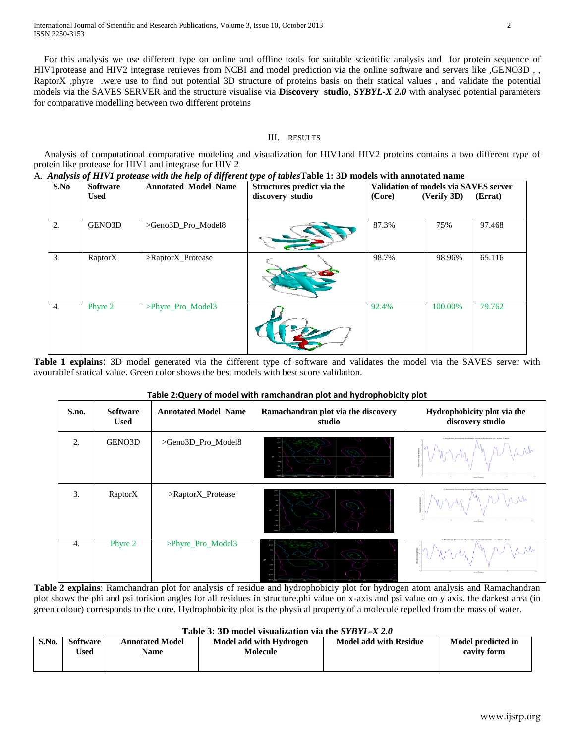For this analysis we use different type on online and offline tools for suitable scientific analysis and for protein sequence of HIV1protease and HIV2 integrase retrieves from NCBI and model prediction via the online software and servers like ,GENO3D , , RaptorX ,phyre .were use to find out potential 3D structure of proteins basis on their statical values, and validate the potential models via the SAVES SERVER and the structure visualise via **Discovery studio**, *SYBYL-X 2.0* with analysed potential parameters for comparative modelling between two different proteins

## III. RESULTS

Analysis of computational comparative modeling and visualization for HIV1and HIV2 proteins contains a two different type of protein like protease for HIV1 and integrase for HIV 2<br> $\triangle$  Analysis of HIV1 protease with the help of different

| S.No<br><b>Software</b> |             | <b>Annotated Model Name</b> | Structures predict via the |        | Validation of models via SAVES server |         |  |
|-------------------------|-------------|-----------------------------|----------------------------|--------|---------------------------------------|---------|--|
|                         | <b>Used</b> |                             | discovery studio           | (Core) | (Verify 3D)                           | (Errat) |  |
| 2.                      | GENO3D      | >Geno3D Pro Model8          |                            | 87.3%  | 75%                                   | 97.468  |  |
| 3.                      | RaptorX     | $>\n$ RaptorX Protease      |                            | 98.7%  | 98.96%                                | 65.116  |  |
| 4.                      | Phyre 2     | >Phyre_Pro_Model3           |                            | 92.4%  | 100.00%                               | 79.762  |  |

**Table 1 explains**: 3D model generated via the different type of software and validates the model via the SAVES server with avourablef statical value. Green color shows the best models with best score validation.

# **Table 2:Query of model with ramchandran plot and hydrophobicity plot**

|       |                                |                             |                                               | . .                                                                                                             |
|-------|--------------------------------|-----------------------------|-----------------------------------------------|-----------------------------------------------------------------------------------------------------------------|
| S.no. | <b>Software</b><br><b>Used</b> | <b>Annotated Model Name</b> | Ramachandran plot via the discovery<br>studio | Hydrophobicity plot via the<br>discovery studio                                                                 |
| 2.    | GENO3D                         | >Geno3D_Pro_Model8          |                                               | 5-Residue Running Average Hydrophobicity vs. Row Inde<br>$\frac{1}{\mu_{\text{max}}}\frac{1}{\mu_{\text{max}}}$ |
| 3.    | RaptorX                        | >RaptorX_Protease           |                                               | the decoration and an electrodecological con-<br><b>Barry Broker</b>                                            |
| 4.    | Phyre 2                        | >Phyre_Pro_Model3           |                                               | <b>Barry Strategy</b>                                                                                           |

**Table 2 explains**: Ramchandran plot for analysis of residue and hydrophobiciy plot for hydrogen atom analysis and Ramachandran plot shows the phi and psi torision angles for all residues in structure.phi value on x-axis and psi value on y axis. the darkest area (in green colour) corresponds to the core. Hydrophobicity plot is the physical property of a molecule repelled from the mass of water.

#### **Table 3: 3D model visualization via the** *SYBYL-X 2.0*

| S.No. | <b>Software</b><br><b>Used</b> | <b>Annotated Model</b><br>Name | Model add with Hydrogen<br>Molecule | <b>Model add with Residue</b> | Model predicted in<br>cavity form |
|-------|--------------------------------|--------------------------------|-------------------------------------|-------------------------------|-----------------------------------|
|       |                                |                                |                                     |                               |                                   |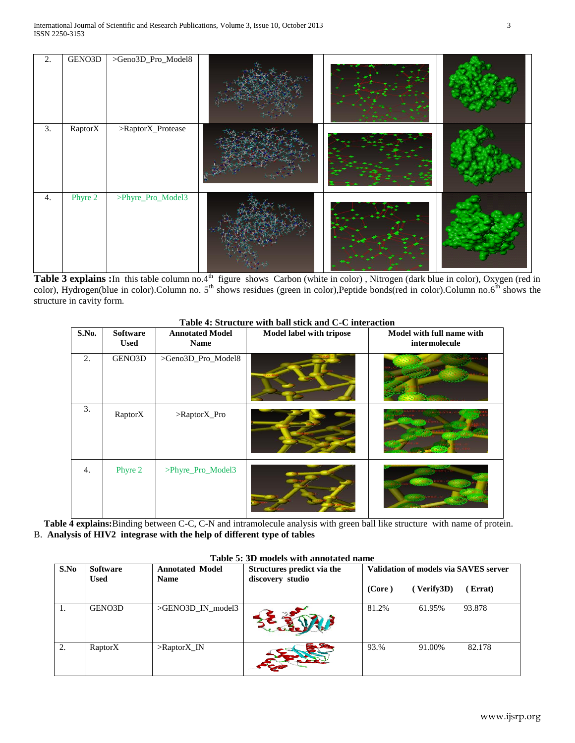| 2.               | GENO3D  | >Geno3D_Pro_Model8 |  |  |
|------------------|---------|--------------------|--|--|
| $\overline{3}$ . | RaptorX | $>\!\!R\$ 2        |  |  |
| 4.               | Phyre 2 | >Phyre_Pro_Model3  |  |  |

Table 3 explains : In this table column no.4<sup>th</sup> figure shows Carbon (white in color), Nitrogen (dark blue in color), Oxygen (red in color), Hydrogen(blue in color).Column no.  $5<sup>th</sup>$  shows residues (green in color),Peptide bonds(red in color).Column no.6<sup>th</sup> shows the structure in cavity form.

| S.No. | <b>Software</b><br><b>Used</b> | <b>Annotated Model</b><br>Name | Model label with tripose | Model with full name with<br>intermolecule |
|-------|--------------------------------|--------------------------------|--------------------------|--------------------------------------------|
| 2.    | GENO3D                         | >Geno3D_Pro_Model8             |                          |                                            |
| 3.    | RaptorX                        | >RaptorX_Pro                   |                          |                                            |
| 4.    | Phyre 2                        | >Phyre_Pro_Model3              |                          |                                            |

#### **Table 4: Structure with ball stick and C-C interaction**

**Table 4 explains:**Binding between C-C, C-N and intramolecule analysis with green ball like structure with name of protein. B. **Analysis of HIV2 integrase with the help of different type of tables**

| S.No | <b>Software</b><br><b>Used</b> | <b>Annotated Model</b><br><b>Name</b> | Structures predict via the<br>discovery studio |        | Validation of models via SAVES server |        |
|------|--------------------------------|---------------------------------------|------------------------------------------------|--------|---------------------------------------|--------|
|      |                                |                                       |                                                | (Core) | (Verify3D)                            | Errat) |
| 1.   | GENO3D                         | >GENO3D_IN_model3                     |                                                | 81.2%  | 61.95%                                | 93.878 |
| 2.   | RaptorX                        | $>\n$ Raptor $X$ <sub>IN</sub>        |                                                | 93.%   | 91.00%                                | 82.178 |

#### **Table 5: 3D models with annotated name**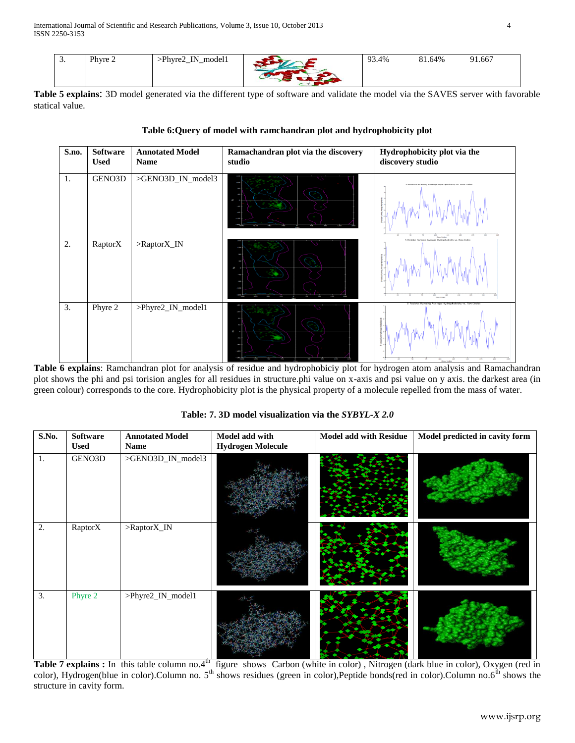| <u>.</u> | Phyre 2 | model1<br>Phyre <sup>2</sup> _<br>TN.<br>. —<br>$-$<br>$   -$ | 93.4% | 81.64% | 91.667 |
|----------|---------|---------------------------------------------------------------|-------|--------|--------|
|          |         |                                                               |       |        |        |

**Table 5 explains**: 3D model generated via the different type of software and validate the model via the SAVES server with favorable statical value.

| S.no. | <b>Software</b><br><b>Used</b> | <b>Annotated Model</b><br><b>Name</b> | Ramachandran plot via the discovery<br>studio | Hydrophobicity plot via the<br>discovery studio                    |
|-------|--------------------------------|---------------------------------------|-----------------------------------------------|--------------------------------------------------------------------|
| 1.    | GENO3D                         | >GENO3D_IN_model3                     | ×                                             | 5-Residue Running Average Hydrophobicity vs.<br>100<br>Prove 31494 |
| 2.    | RaptorX                        | >RaptorX_IN                           | n.                                            | $\frac{100}{Pare$ Inde                                             |
| 3.    | Phyre 2                        | >Phyre2_IN_model1                     |                                               |                                                                    |

# **Table 6:Query of model with ramchandran plot and hydrophobicity plot**

**Table 6 explains**: Ramchandran plot for analysis of residue and hydrophobiciy plot for hydrogen atom analysis and Ramachandran plot shows the phi and psi torision angles for all residues in structure.phi value on x-axis and psi value on y axis. the darkest area (in green colour) corresponds to the core. Hydrophobicity plot is the physical property of a molecule repelled from the mass of water.

| S.No. | <b>Software</b><br><b>Used</b> | <b>Annotated Model</b><br>Name | Model add with<br><b>Hydrogen Molecule</b> | <b>Model add with Residue</b> | Model predicted in cavity form |
|-------|--------------------------------|--------------------------------|--------------------------------------------|-------------------------------|--------------------------------|
| 1.    | GENO3D                         | >GENO3D_IN_model3              |                                            |                               |                                |
| 2.    | $R$ aptor $\overline{X}$       | $>\n$ Raptor $X$ <sub>IN</sub> |                                            |                               |                                |
| 3.    | Phyre 2                        | >Phyre2_IN_model1              |                                            |                               |                                |

**Table: 7. 3D model visualization via the** *SYBYL-X 2.0*

Table 7 explains : In this table column no.4<sup>th</sup> figure shows Carbon (white in color), Nitrogen (dark blue in color), Oxygen (red in color), Hydrogen(blue in color).Column no.  $5<sup>th</sup>$  shows residues (green in color),Peptide bonds(red in color).Column no.6<sup>th</sup> shows the structure in cavity form.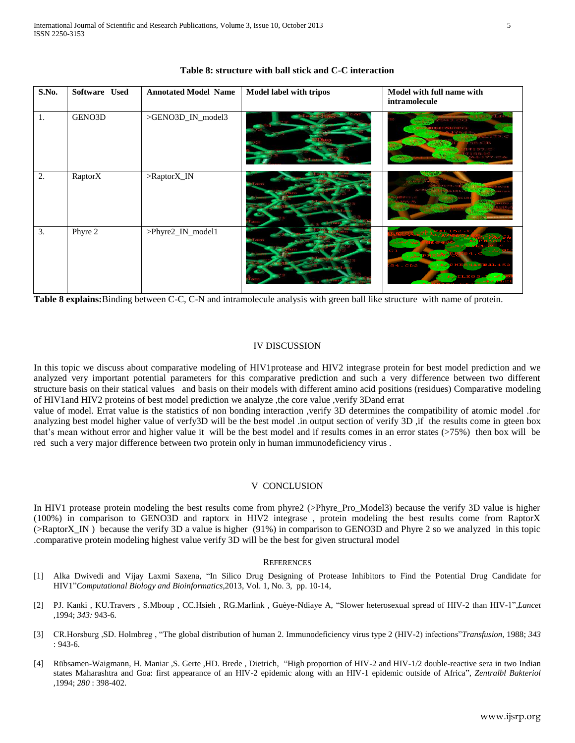| S.No. | Software Used  | <b>Annotated Model Name</b> | <b>Model label with tripos</b> | Model with full name with<br>intramolecule                                     |
|-------|----------------|-----------------------------|--------------------------------|--------------------------------------------------------------------------------|
| 1.    | GENO3D         | >GENO3D_IN_model3           |                                | <b>SILIZES ME</b><br><b>The County</b><br><b>ST157C</b><br>58.IV<br><b>Agr</b> |
| 2.    | <b>RaptorX</b> | >RaptorX_IN                 |                                |                                                                                |
| 3.    | Phyre 2        | >Phyre2_IN_model1           |                                | <b>TESAAATAL</b><br>54.CD2                                                     |

#### **Table 8: structure with ball stick and C-C interaction**

**Table 8 explains:**Binding between C-C, C-N and intramolecule analysis with green ball like structure with name of protein.

#### IV DISCUSSION

In this topic we discuss about comparative modeling of HIV1protease and HIV2 integrase protein for best model prediction and we analyzed very important potential parameters for this comparative prediction and such a very difference between two different structure basis on their statical values and basis on their models with different amino acid positions (residues) Comparative modeling of HIV1and HIV2 proteins of best model prediction we analyze ,the core value ,verify 3Dand errat

value of model. Errat value is the statistics of non bonding interaction ,verify 3D determines the compatibility of atomic model .for analyzing best model higher value of verfy3D will be the best model .in output section of verify 3D ,if the results come in gteen box that's mean without error and higher value it will be the best model and if results comes in an error states (>75%) then box will be red such a very major difference between two protein only in human immunodeficiency virus .

#### V CONCLUSION

In HIV1 protease protein modeling the best results come from phyre2 (>Phyre\_Pro\_Model3) because the verify 3D value is higher (100%) in comparison to GENO3D and raptorx in HIV2 integrase , protein modeling the best results come from RaptorX (>RaptorX\_IN ) because the verify 3D a value is higher (91%) in comparison to GENO3D and Phyre 2 so we analyzed in this topic .comparative protein modeling highest value verify 3D will be the best for given structural model

#### **REFERENCES**

- [1] Alka Dwivedi and Vijay Laxmi Saxena, "In Silico Drug Designing of Protease Inhibitors to Find the Potential Drug Candidate for HIV1"*Computational Biology and Bioinformatics*,2013, Vol. 1, No. 3, pp. 10-14,
- [2] PJ. Kanki , KU.Travers , S.Mboup , CC.Hsieh , RG.Marlink , Guèye-Ndiaye A, "Slower heterosexual spread of HIV-2 than HIV-1",*Lancet ,*1994; *343:* 943-6.
- [3] CR.Horsburg ,SD. Holmbreg , "The global distribution of human 2. Immunodeficiency virus type 2 (HIV-2) infections"*Transfusion,* 1988; *343*  : 943-6.
- [4] Rübsamen-Waigmann, H. Maniar ,S. Gerte ,HD. Brede , Dietrich, "High proportion of HIV-2 and HIV-1/2 double-reactive sera in two Indian states Maharashtra and Goa: first appearance of an HIV-2 epidemic along with an HIV-1 epidemic outside of Africa", *Zentralbl Bakteriol ,*1994; *280* : 398-402.